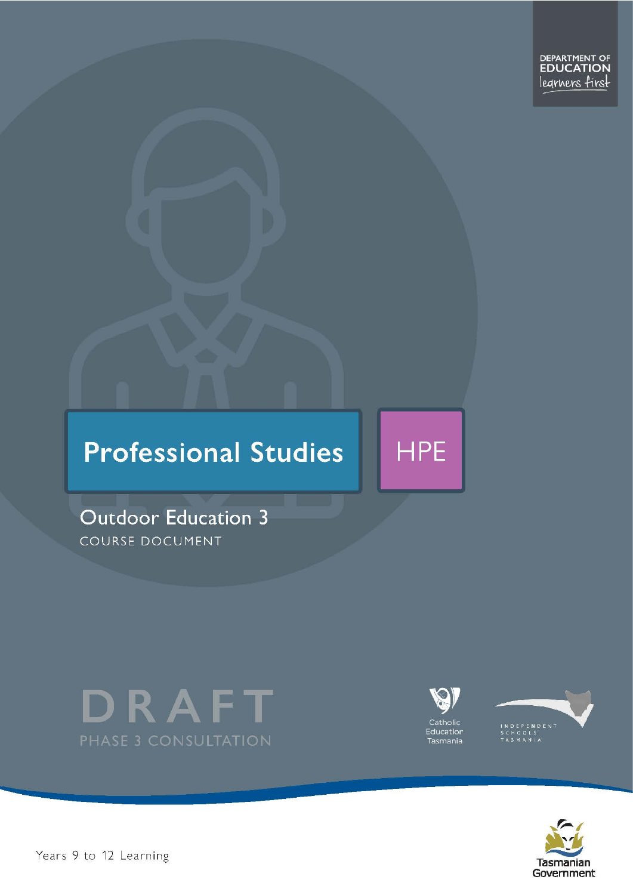

# **Professional Studies**

**Outdoor Education 3** COURSE DOCUMENT





**HPE** 





Pears 9 to 12 Learning and the set of 30 page 1 of 30 page 1 of 30 page 1 of 30 page 1 of 30 page 1 of 30 page 1 of 30 page 1 of 30 page 1 of 30 page 1 of 30 page 1 of 30 page 1 of 30 page 1 of 30 page 1 of 30 page 1 of 30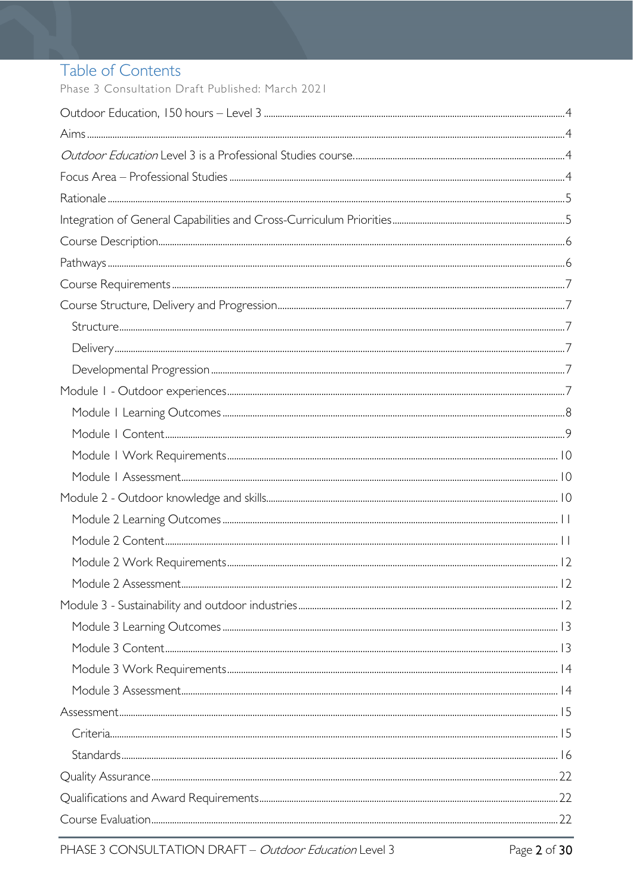# Table of Contents

Phase 3 Consultation Draft Published: March 2021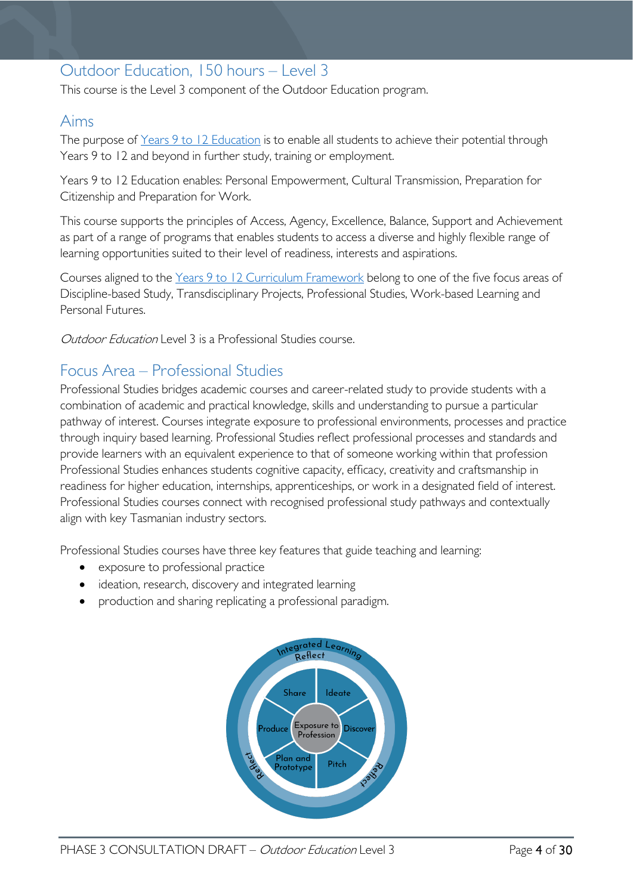# <span id="page-3-0"></span>Outdoor Education, 150 hours – Level 3

This course is the Level 3 component of the Outdoor Education program.

# <span id="page-3-1"></span>Aims

The purpose of Years 9 to 12 [Education](https://publicdocumentcentre.education.tas.gov.au/library/Shared%20Documents/Years-9-to-12-Education-Framework.pdf) is to enable all students to achieve their potential through Years 9 to 12 and beyond in further study, training or employment.

Years 9 to 12 Education enables: Personal Empowerment, Cultural Transmission, Preparation for Citizenship and Preparation for Work.

This course supports the principles of Access, Agency, Excellence, Balance, Support and Achievement as part of a range of programs that enables students to access a diverse and highly flexible range of learning opportunities suited to their level of readiness, interests and aspirations.

Courses aligned to the Years 9 to 12 Curriculum [Framework](https://publicdocumentcentre.education.tas.gov.au/library/Shared%20Documents/Education%209-12%20Frameworks%20A3%20WEB%20POSTER.pdf) belong to one of the five focus areas of Discipline-based Study, Transdisciplinary Projects, Professional Studies, Work-based Learning and Personal Futures.

<span id="page-3-3"></span><span id="page-3-2"></span>Outdoor Education Level 3 is a Professional Studies course.

# Focus Area – Professional Studies

Professional Studies bridges academic courses and career-related study to provide students with a combination of academic and practical knowledge, skills and understanding to pursue a particular pathway of interest. Courses integrate exposure to professional environments, processes and practice through inquiry based learning. Professional Studies reflect professional processes and standards and provide learners with an equivalent experience to that of someone working within that profession Professional Studies enhances students cognitive capacity, efficacy, creativity and craftsmanship in readiness for higher education, internships, apprenticeships, or work in a designated field of interest. Professional Studies courses connect with recognised professional study pathways and contextually align with key Tasmanian industry sectors.

Professional Studies courses have three key features that guide teaching and learning:

- exposure to professional practice
- ideation, research, discovery and integrated learning
- production and sharing replicating a professional paradigm.

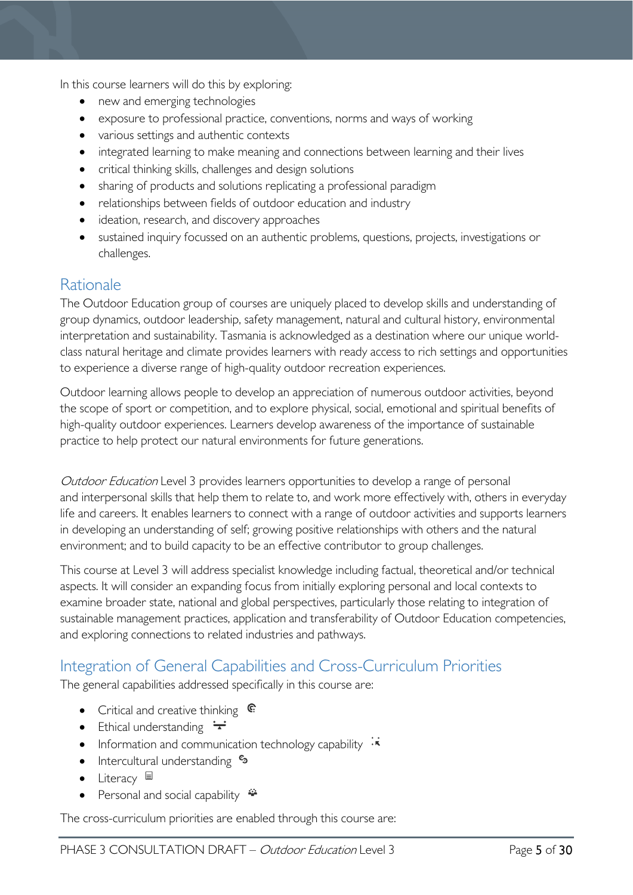In this course learners will do this by exploring:

- new and emerging technologies
- exposure to professional practice, conventions, norms and ways of working
- various settings and authentic contexts
- integrated learning to make meaning and connections between learning and their lives
- critical thinking skills, challenges and design solutions
- sharing of products and solutions replicating a professional paradigm
- relationships between fields of outdoor education and industry
- ideation, research, and discovery approaches
- sustained inquiry focussed on an authentic problems, questions, projects, investigations or challenges.

# <span id="page-4-0"></span>Rationale

The Outdoor Education group of courses are uniquely placed to develop skills and understanding of group dynamics, outdoor leadership, safety management, natural and cultural history, environmental interpretation and sustainability. Tasmania is acknowledged as a destination where our unique worldclass natural heritage and climate provides learners with ready access to rich settings and opportunities to experience a diverse range of high-quality outdoor recreation experiences.

Outdoor learning allows people to develop an appreciation of numerous outdoor activities, beyond the scope of sport or competition, and to explore physical, social, emotional and spiritual benefits of high-quality outdoor experiences. Learners develop awareness of the importance of sustainable practice to help protect our natural environments for future generations.

Outdoor Education Level 3 provides learners opportunities to develop a range of personal and interpersonal skills that help them to relate to, and work more effectively with, others in everyday life and careers. It enables learners to connect with a range of outdoor activities and supports learners in developing an understanding of self; growing positive relationships with others and the natural environment; and to build capacity to be an effective contributor to group challenges.

This course at Level 3 will address specialist knowledge including factual, theoretical and/or technical aspects. It will consider an expanding focus from initially exploring personal and local contexts to examine broader state, national and global perspectives, particularly those relating to integration of sustainable management practices, application and transferability of Outdoor Education competencies, and exploring connections to related industries and pathways.

# <span id="page-4-1"></span>Integration of General Capabilities and Cross-Curriculum Priorities

The general capabilities addressed specifically in this course are:

- Critical and creative thinking  $\mathbb{C}$
- Ethical understanding  $\div$
- Information and communication technology capability  $\cdot\overline{\cdot}$
- Intercultural understanding  $\frac{c_3}{ }$
- Literacy  $\blacksquare$
- Personal and social capability  $\ddot{\ddot{}}$

The cross-curriculum priorities are enabled through this course are: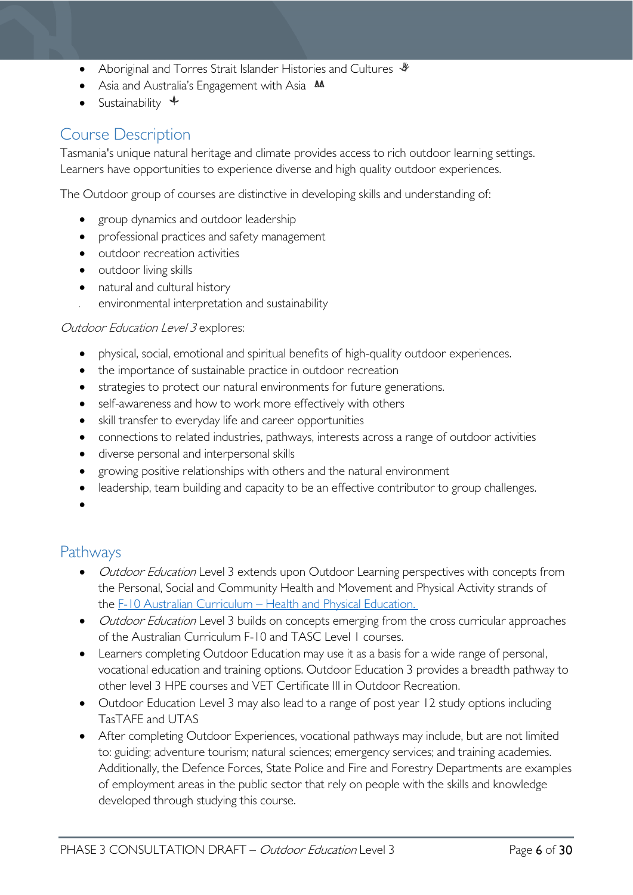- Aboriginal and Torres Strait Islander Histories and Cultures  $\mathcal$
- Asia and Australia's Engagement with Asia **AA**
- Sustainability  $\triangleq$

# <span id="page-5-0"></span>Course Description

Tasmania's unique natural heritage and climate provides access to rich outdoor learning settings. Learners have opportunities to experience diverse and high quality outdoor experiences.

The Outdoor group of courses are distinctive in developing skills and understanding of:

- group dynamics and outdoor leadership
- professional practices and safety management
- outdoor recreation activities
- outdoor living skills
- natural and cultural history
- environmental interpretation and sustainability

#### Outdoor Education Level 3 explores:

- physical, social, emotional and spiritual benefits of high-quality outdoor experiences.
- the importance of sustainable practice in outdoor recreation
- strategies to protect our natural environments for future generations.
- self-awareness and how to work more effectively with others
- skill transfer to everyday life and career opportunities
- connections to related industries, pathways, interests across a range of outdoor activities
- diverse personal and interpersonal skills
- growing positive relationships with others and the natural environment
- leadership, team building and capacity to be an effective contributor to group challenges.

•

# <span id="page-5-1"></span>Pathways

- *Outdoor Education* Level 3 extends upon Outdoor Learning perspectives with concepts from the Personal, Social and Community Health and Movement and Physical Activity strands of the [F-10 Australian Curriculum – Health and Physical Education.](http://www.australiancurriculum.edu.au/health-and-physical-education/curriculum/f-10?layout=1)
- *Outdoor Education* Level 3 builds on concepts emerging from the cross curricular approaches of the Australian Curriculum F-10 and TASC Level 1 courses.
- Learners completing Outdoor Education may use it as a basis for a wide range of personal, vocational education and training options. Outdoor Education 3 provides a breadth pathway to other level 3 HPE courses and VET Certificate III in Outdoor Recreation.
- Outdoor Education Level 3 may also lead to a range of post year 12 study options including TasTAFE and UTAS
- After completing Outdoor Experiences, vocational pathways may include, but are not limited to: guiding; adventure tourism; natural sciences; emergency services; and training academies. Additionally, the Defence Forces, State Police and Fire and Forestry Departments are examples of employment areas in the public sector that rely on people with the skills and knowledge developed through studying this course.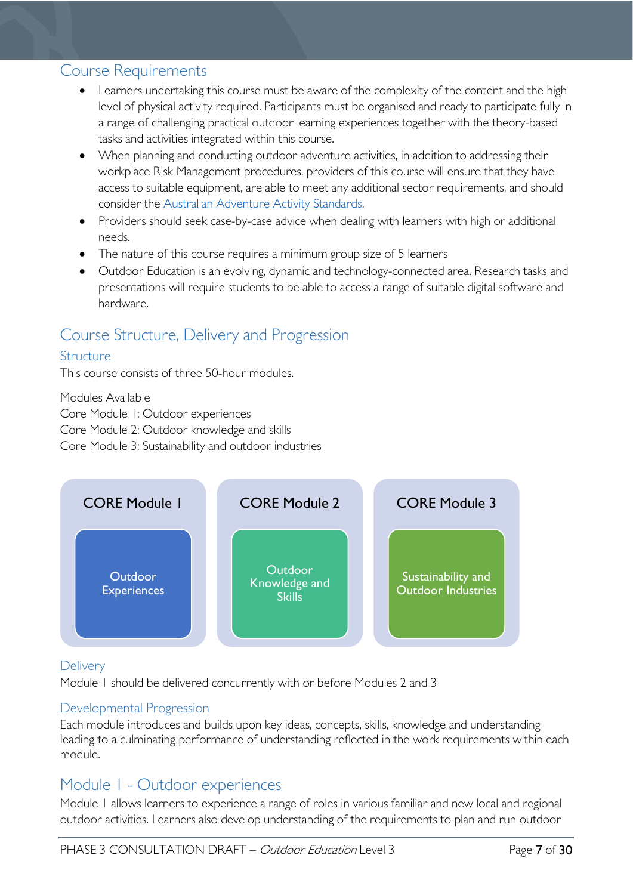# <span id="page-6-0"></span>Course Requirements

- Learners undertaking this course must be aware of the complexity of the content and the high level of physical activity required. Participants must be organised and ready to participate fully in a range of challenging practical outdoor learning experiences together with the theory-based tasks and activities integrated within this course.
- When planning and conducting outdoor adventure activities, in addition to addressing their workplace Risk Management procedures, providers of this course will ensure that they have access to suitable equipment, are able to meet any additional sector requirements, and should consider the [Australian Adventure Activity Standards.](https://australianaas.org.au/)
- Providers should seek case-by-case advice when dealing with learners with high or additional needs.
- The nature of this course requires a minimum group size of 5 learners
- Outdoor Education is an evolving, dynamic and technology-connected area. Research tasks and presentations will require students to be able to access a range of suitable digital software and hardware.

# <span id="page-6-1"></span>Course Structure, Delivery and Progression

### <span id="page-6-2"></span>**Structure**

This course consists of three 50-hour modules.

Modules Available

Core Module 1: Outdoor experiences

Core Module 2: Outdoor knowledge and skills

Core Module 3: Sustainability and outdoor industries



## <span id="page-6-3"></span>**Delivery**

Module 1 should be delivered concurrently with or before Modules 2 and 3

## <span id="page-6-4"></span>Developmental Progression

Each module introduces and builds upon key ideas, concepts, skills, knowledge and understanding leading to a culminating performance of understanding reflected in the work requirements within each module.

# <span id="page-6-5"></span>Module 1 - Outdoor experiences

Module 1 allows learners to experience a range of roles in various familiar and new local and regional outdoor activities. Learners also develop understanding of the requirements to plan and run outdoor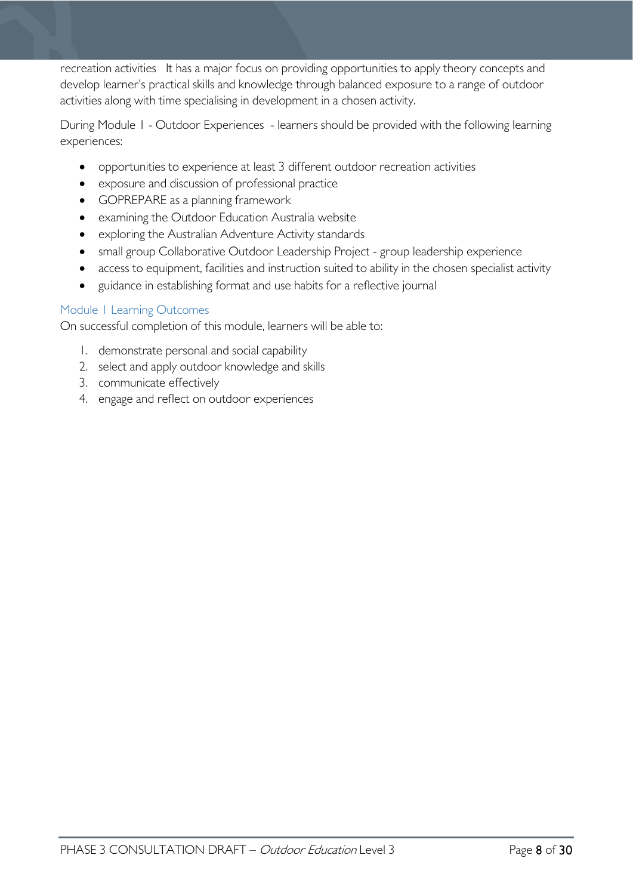recreation activities It has a major focus on providing opportunities to apply theory concepts and develop learner's practical skills and knowledge through balanced exposure to a range of outdoor activities along with time specialising in development in a chosen activity.

During Module 1 - Outdoor Experiences - learners should be provided with the following learning experiences:

- opportunities to experience at least 3 different outdoor recreation activities
- exposure and discussion of professional practice
- GOPREPARE as a planning framework
- examining the Outdoor Education Australia website
- exploring the Australian Adventure Activity standards
- small group Collaborative Outdoor Leadership Project group leadership experience
- access to equipment, facilities and instruction suited to ability in the chosen specialist activity
- guidance in establishing format and use habits for a reflective journal

### <span id="page-7-0"></span>Module 1 Learning Outcomes

On successful completion of this module, learners will be able to:

- 1. demonstrate personal and social capability
- 2. select and apply outdoor knowledge and skills
- 3. communicate effectively
- 4. engage and reflect on outdoor experiences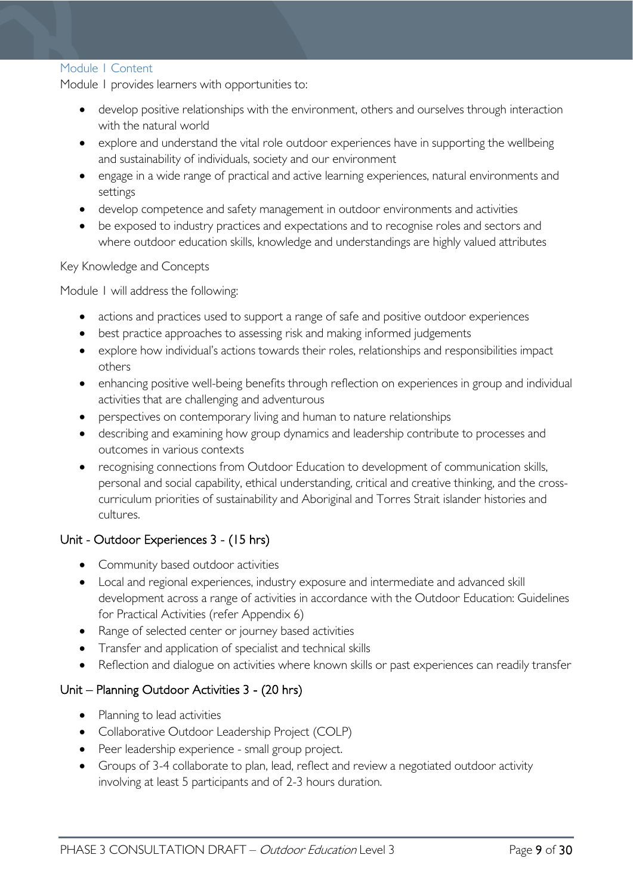#### <span id="page-8-0"></span>Module 1 Content

Module 1 provides learners with opportunities to:

- develop positive relationships with the environment, others and ourselves through interaction with the natural world
- explore and understand the vital role outdoor experiences have in supporting the wellbeing and sustainability of individuals, society and our environment
- engage in a wide range of practical and active learning experiences, natural environments and settings
- develop competence and safety management in outdoor environments and activities
- be exposed to industry practices and expectations and to recognise roles and sectors and where outdoor education skills, knowledge and understandings are highly valued attributes

Key Knowledge and Concepts

Module 1 will address the following:

- actions and practices used to support a range of safe and positive outdoor experiences
- best practice approaches to assessing risk and making informed judgements
- explore how individual's actions towards their roles, relationships and responsibilities impact others
- enhancing positive well-being benefits through reflection on experiences in group and individual activities that are challenging and adventurous
- perspectives on contemporary living and human to nature relationships
- describing and examining how group dynamics and leadership contribute to processes and outcomes in various contexts
- recognising connections from Outdoor Education to development of communication skills, personal and social capability, ethical understanding, critical and creative thinking, and the crosscurriculum priorities of sustainability and Aboriginal and Torres Strait islander histories and cultures.

## Unit - Outdoor Experiences 3 - (15 hrs)

- Community based outdoor activities
- Local and regional experiences, industry exposure and intermediate and advanced skill development across a range of activities in accordance with the Outdoor Education: Guidelines for Practical Activities (refer Appendix 6)
- Range of selected center or journey based activities
- Transfer and application of specialist and technical skills
- Reflection and dialogue on activities where known skills or past experiences can readily transfer

## Unit – Planning Outdoor Activities 3 - (20 hrs)

- Planning to lead activities
- Collaborative Outdoor Leadership Project (COLP)
- Peer leadership experience small group project.
- Groups of 3-4 collaborate to plan, lead, reflect and review a negotiated outdoor activity involving at least 5 participants and of 2-3 hours duration.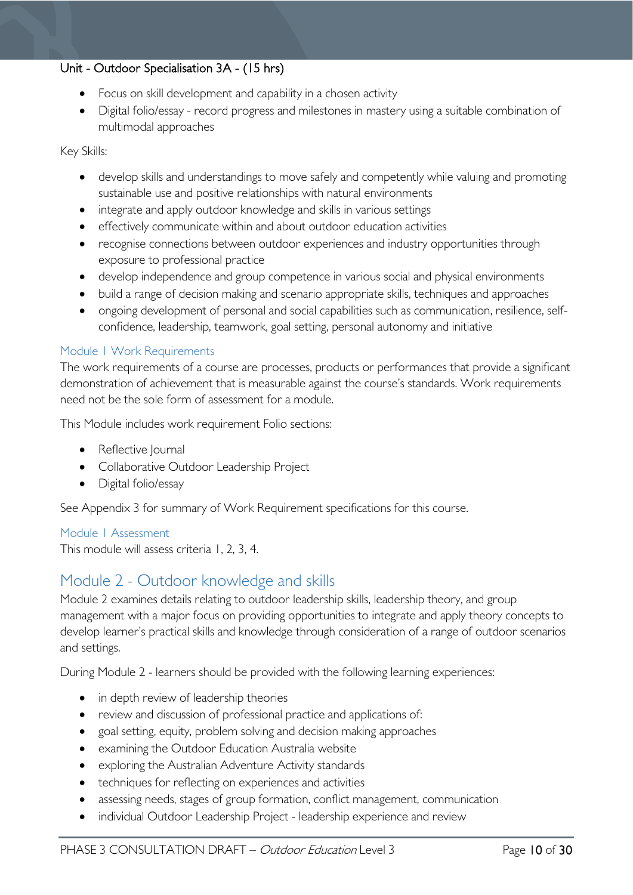## Unit - Outdoor Specialisation 3A - (15 hrs)

- Focus on skill development and capability in a chosen activity
- Digital folio/essay record progress and milestones in mastery using a suitable combination of multimodal approaches

Key Skills:

- develop skills and understandings to move safely and competently while valuing and promoting sustainable use and positive relationships with natural environments
- integrate and apply outdoor knowledge and skills in various settings
- effectively communicate within and about outdoor education activities
- recognise connections between outdoor experiences and industry opportunities through exposure to professional practice
- develop independence and group competence in various social and physical environments
- build a range of decision making and scenario appropriate skills, techniques and approaches
- ongoing development of personal and social capabilities such as communication, resilience, selfconfidence, leadership, teamwork, goal setting, personal autonomy and initiative

#### <span id="page-9-0"></span>Module 1 Work Requirements

The work requirements of a course are processes, products or performances that provide a significant demonstration of achievement that is measurable against the course's standards. Work requirements need not be the sole form of assessment for a module.

This Module includes work requirement Folio sections:

- Reflective Journal
- Collaborative Outdoor Leadership Project
- Digital folio/essay

See Appendix 3 for summary of Work Requirement specifications for this course.

#### <span id="page-9-1"></span>Module 1 Assessment

This module will assess criteria 1, 2, 3, 4.

# <span id="page-9-2"></span>Module 2 - Outdoor knowledge and skills

Module 2 examines details relating to outdoor leadership skills, leadership theory, and group management with a major focus on providing opportunities to integrate and apply theory concepts to develop learner's practical skills and knowledge through consideration of a range of outdoor scenarios and settings.

During Module 2 - learners should be provided with the following learning experiences:

- in depth review of leadership theories
- review and discussion of professional practice and applications of:
- goal setting, equity, problem solving and decision making approaches
- examining the Outdoor Education Australia website
- exploring the Australian Adventure Activity standards
- techniques for reflecting on experiences and activities
- assessing needs, stages of group formation, conflict management, communication
- individual Outdoor Leadership Project leadership experience and review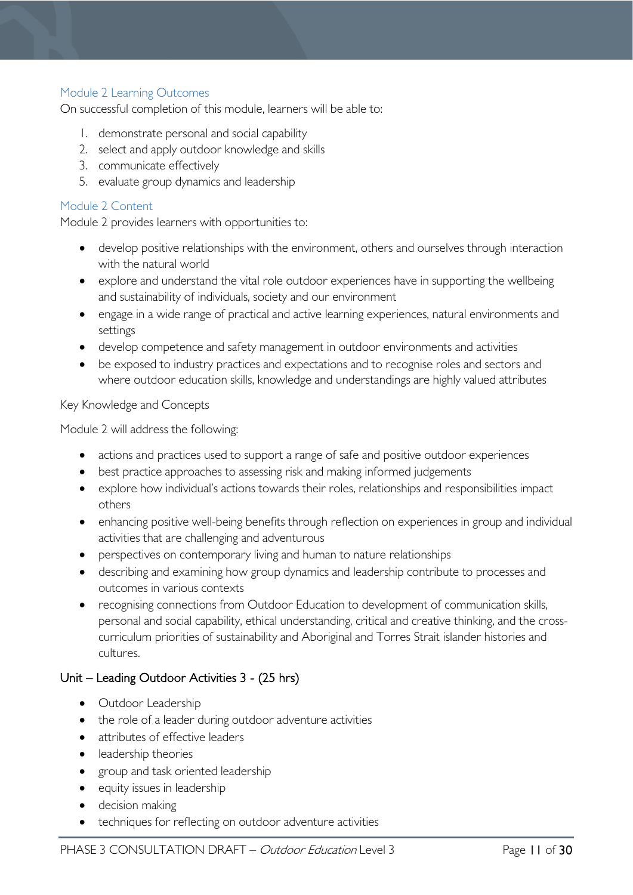## <span id="page-10-0"></span>Module 2 Learning Outcomes

On successful completion of this module, learners will be able to:

- 1. demonstrate personal and social capability
- 2. select and apply outdoor knowledge and skills
- 3. communicate effectively
- 5. evaluate group dynamics and leadership

### <span id="page-10-1"></span>Module 2 Content

Module 2 provides learners with opportunities to:

- develop positive relationships with the environment, others and ourselves through interaction with the natural world
- explore and understand the vital role outdoor experiences have in supporting the wellbeing and sustainability of individuals, society and our environment
- engage in a wide range of practical and active learning experiences, natural environments and settings
- develop competence and safety management in outdoor environments and activities
- be exposed to industry practices and expectations and to recognise roles and sectors and where outdoor education skills, knowledge and understandings are highly valued attributes

#### Key Knowledge and Concepts

Module 2 will address the following:

- actions and practices used to support a range of safe and positive outdoor experiences
- best practice approaches to assessing risk and making informed judgements
- explore how individual's actions towards their roles, relationships and responsibilities impact others
- enhancing positive well-being benefits through reflection on experiences in group and individual activities that are challenging and adventurous
- perspectives on contemporary living and human to nature relationships
- describing and examining how group dynamics and leadership contribute to processes and outcomes in various contexts
- recognising connections from Outdoor Education to development of communication skills, personal and social capability, ethical understanding, critical and creative thinking, and the crosscurriculum priorities of sustainability and Aboriginal and Torres Strait islander histories and cultures.

## Unit – Leading Outdoor Activities 3 - (25 hrs)

- Outdoor Leadership
- the role of a leader during outdoor adventure activities
- attributes of effective leaders
- leadership theories
- group and task oriented leadership
- equity issues in leadership
- decision making
- techniques for reflecting on outdoor adventure activities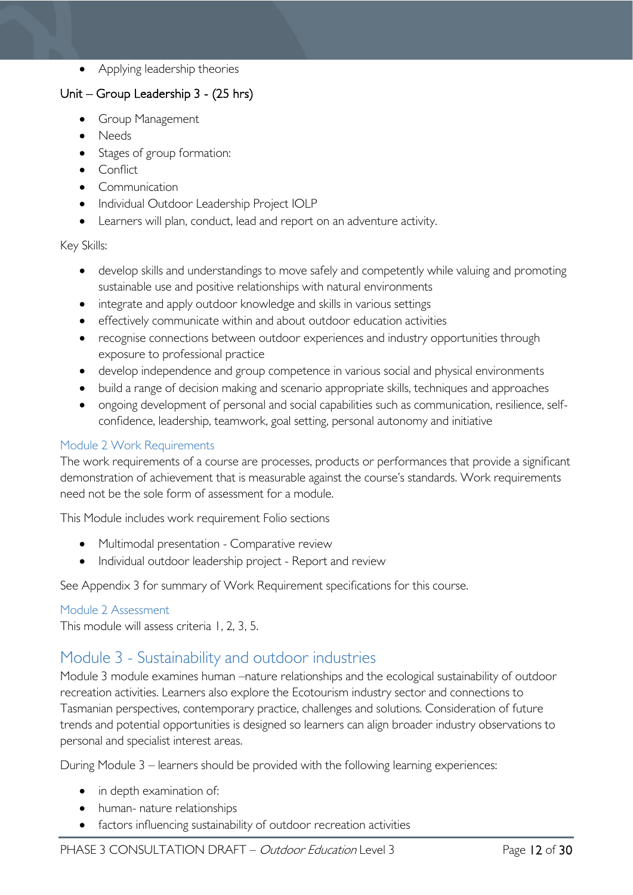• Applying leadership theories

# Unit – Group Leadership 3 - (25 hrs)

- Group Management
- Needs
- Stages of group formation:
- Conflict
- Communication
- Individual Outdoor Leadership Project IOLP
- Learners will plan, conduct, lead and report on an adventure activity.

#### Key Skills:

- develop skills and understandings to move safely and competently while valuing and promoting sustainable use and positive relationships with natural environments
- integrate and apply outdoor knowledge and skills in various settings
- effectively communicate within and about outdoor education activities
- recognise connections between outdoor experiences and industry opportunities through exposure to professional practice
- develop independence and group competence in various social and physical environments
- build a range of decision making and scenario appropriate skills, techniques and approaches
- ongoing development of personal and social capabilities such as communication, resilience, selfconfidence, leadership, teamwork, goal setting, personal autonomy and initiative

### <span id="page-11-0"></span>Module 2 Work Requirements

The work requirements of a course are processes, products or performances that provide a significant demonstration of achievement that is measurable against the course's standards. Work requirements need not be the sole form of assessment for a module.

This Module includes work requirement Folio sections

- Multimodal presentation Comparative review
- Individual outdoor leadership project Report and review

See Appendix 3 for summary of Work Requirement specifications for this course.

#### <span id="page-11-1"></span>Module 2 Assessment

This module will assess criteria 1, 2, 3, 5.

# <span id="page-11-2"></span>Module 3 - Sustainability and outdoor industries

Module 3 module examines human –nature relationships and the ecological sustainability of outdoor recreation activities. Learners also explore the Ecotourism industry sector and connections to Tasmanian perspectives, contemporary practice, challenges and solutions. Consideration of future trends and potential opportunities is designed so learners can align broader industry observations to personal and specialist interest areas.

During Module 3 – learners should be provided with the following learning experiences:

- in depth examination of:
- human- nature relationships
- factors influencing sustainability of outdoor recreation activities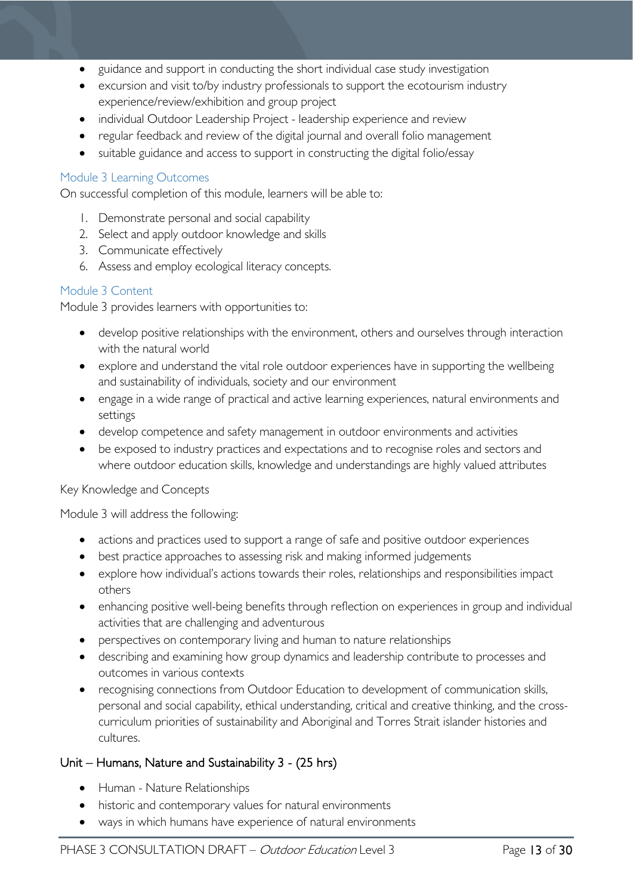- guidance and support in conducting the short individual case study investigation
- excursion and visit to/by industry professionals to support the ecotourism industry experience/review/exhibition and group project
- individual Outdoor Leadership Project leadership experience and review
- regular feedback and review of the digital journal and overall folio management
- suitable guidance and access to support in constructing the digital folio/essay

#### <span id="page-12-0"></span>Module 3 Learning Outcomes

On successful completion of this module, learners will be able to:

- 1. Demonstrate personal and social capability
- 2. Select and apply outdoor knowledge and skills
- 3. Communicate effectively
- 6. Assess and employ ecological literacy concepts.

#### <span id="page-12-1"></span>Module 3 Content

Module 3 provides learners with opportunities to:

- develop positive relationships with the environment, others and ourselves through interaction with the natural world
- explore and understand the vital role outdoor experiences have in supporting the wellbeing and sustainability of individuals, society and our environment
- engage in a wide range of practical and active learning experiences, natural environments and settings
- develop competence and safety management in outdoor environments and activities
- be exposed to industry practices and expectations and to recognise roles and sectors and where outdoor education skills, knowledge and understandings are highly valued attributes

#### Key Knowledge and Concepts

#### Module 3 will address the following:

- actions and practices used to support a range of safe and positive outdoor experiences
- best practice approaches to assessing risk and making informed judgements
- explore how individual's actions towards their roles, relationships and responsibilities impact others
- enhancing positive well-being benefits through reflection on experiences in group and individual activities that are challenging and adventurous
- perspectives on contemporary living and human to nature relationships
- describing and examining how group dynamics and leadership contribute to processes and outcomes in various contexts
- recognising connections from Outdoor Education to development of communication skills, personal and social capability, ethical understanding, critical and creative thinking, and the crosscurriculum priorities of sustainability and Aboriginal and Torres Strait islander histories and cultures.

#### Unit – Humans, Nature and Sustainability 3 - (25 hrs)

- Human Nature Relationships
- historic and contemporary values for natural environments
- ways in which humans have experience of natural environments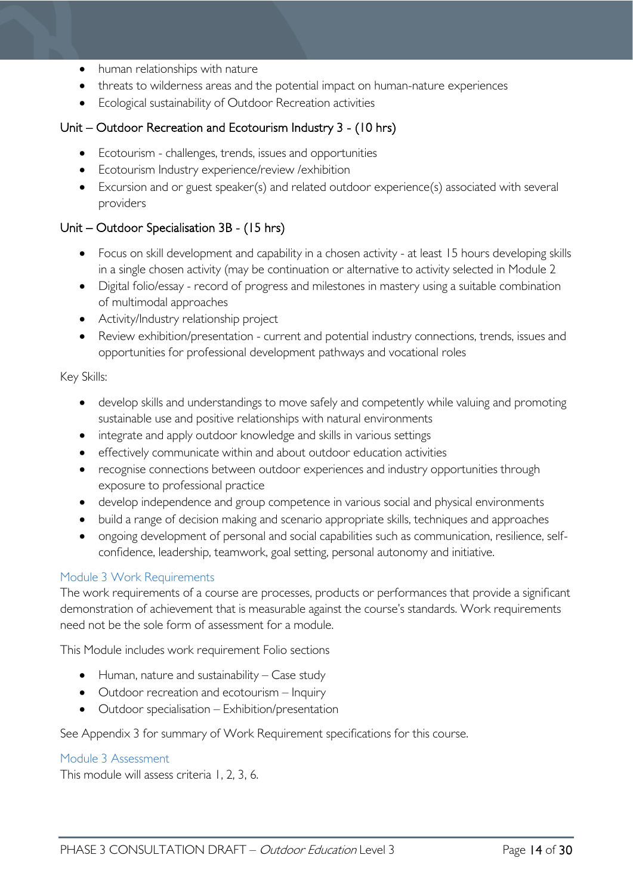- human relationships with nature
- threats to wilderness areas and the potential impact on human-nature experiences
- Ecological sustainability of Outdoor Recreation activities

# Unit – Outdoor Recreation and Ecotourism Industry 3 - (10 hrs)

- Ecotourism challenges, trends, issues and opportunities
- Ecotourism Industry experience/review /exhibition
- Excursion and or guest speaker(s) and related outdoor experience(s) associated with several providers

## Unit – Outdoor Specialisation 3B - (15 hrs)

- Focus on skill development and capability in a chosen activity at least 15 hours developing skills in a single chosen activity (may be continuation or alternative to activity selected in Module 2
- Digital folio/essay record of progress and milestones in mastery using a suitable combination of multimodal approaches
- Activity/Industry relationship project
- Review exhibition/presentation current and potential industry connections, trends, issues and opportunities for professional development pathways and vocational roles

#### Key Skills:

- develop skills and understandings to move safely and competently while valuing and promoting sustainable use and positive relationships with natural environments
- integrate and apply outdoor knowledge and skills in various settings
- effectively communicate within and about outdoor education activities
- recognise connections between outdoor experiences and industry opportunities through exposure to professional practice
- develop independence and group competence in various social and physical environments
- build a range of decision making and scenario appropriate skills, techniques and approaches
- ongoing development of personal and social capabilities such as communication, resilience, selfconfidence, leadership, teamwork, goal setting, personal autonomy and initiative.

## <span id="page-13-0"></span>Module 3 Work Requirements

The work requirements of a course are processes, products or performances that provide a significant demonstration of achievement that is measurable against the course's standards. Work requirements need not be the sole form of assessment for a module.

This Module includes work requirement Folio sections

- $\bullet$  Human, nature and sustainability Case study
- Outdoor recreation and ecotourism Inquiry
- Outdoor specialisation Exhibition/presentation

See Appendix 3 for summary of Work Requirement specifications for this course.

#### <span id="page-13-1"></span>Module 3 Assessment

This module will assess criteria 1, 2, 3, 6.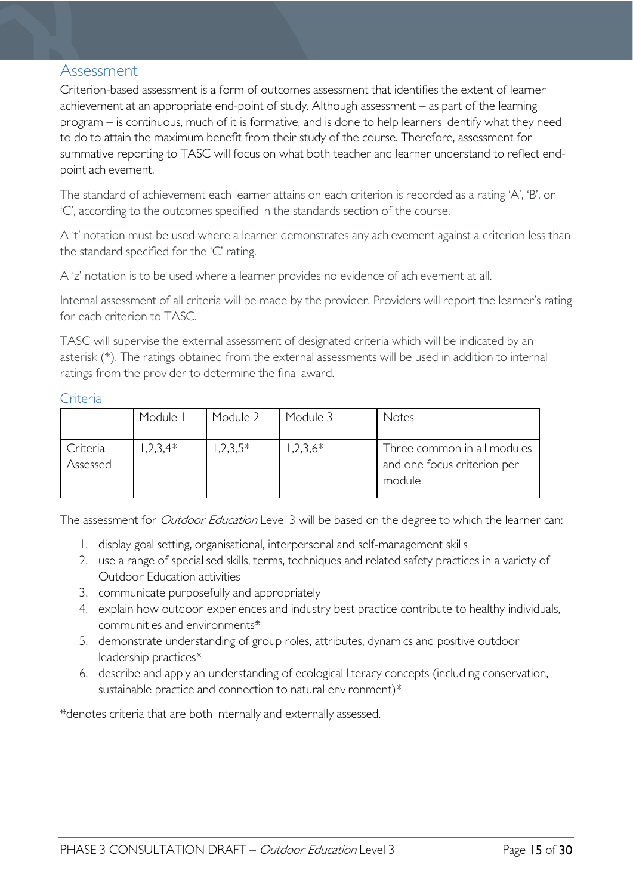# <span id="page-14-0"></span>Assessment

Criterion-based assessment is a form of outcomes assessment that identifies the extent of learner achievement at an appropriate end-point of study. Although assessment – as part of the learning program – is continuous, much of it is formative, and is done to help learners identify what they need to do to attain the maximum benefit from their study of the course. Therefore, assessment for summative reporting to TASC will focus on what both teacher and learner understand to reflect endpoint achievement.

The standard of achievement each learner attains on each criterion is recorded as a rating 'A', 'B', or 'C', according to the outcomes specified in the standards section of the course.

A 't' notation must be used where a learner demonstrates any achievement against a criterion less than the standard specified for the 'C' rating.

A 'z' notation is to be used where a learner provides no evidence of achievement at all.

Internal assessment of all criteria will be made by the provider. Providers will report the learner's rating for each criterion to TASC.

TASC will supervise the external assessment of designated criteria which will be indicated by an asterisk (\*). The ratings obtained from the external assessments will be used in addition to internal ratings from the provider to determine the final award.

#### <span id="page-14-1"></span>**Criteria**

|                      | Module I   | Module 2  | Module 3  | Notes                                                                |
|----------------------|------------|-----------|-----------|----------------------------------------------------------------------|
| Criteria<br>Assessed | $1,2,3,4*$ | $,2,3,5*$ | $,2,3,6*$ | Three common in all modules<br>and one focus criterion per<br>module |

The assessment for *Outdoor Education* Level 3 will be based on the degree to which the learner can:

- 1. display goal setting, organisational, interpersonal and self-management skills
- 2. use a range of specialised skills, terms, techniques and related safety practices in a variety of Outdoor Education activities
- 3. communicate purposefully and appropriately
- 4. explain how outdoor experiences and industry best practice contribute to healthy individuals, communities and environments\*
- 5. demonstrate understanding of group roles, attributes, dynamics and positive outdoor leadership practices\*
- 6. describe and apply an understanding of ecological literacy concepts (including conservation, sustainable practice and connection to natural environment)\*

\*denotes criteria that are both internally and externally assessed.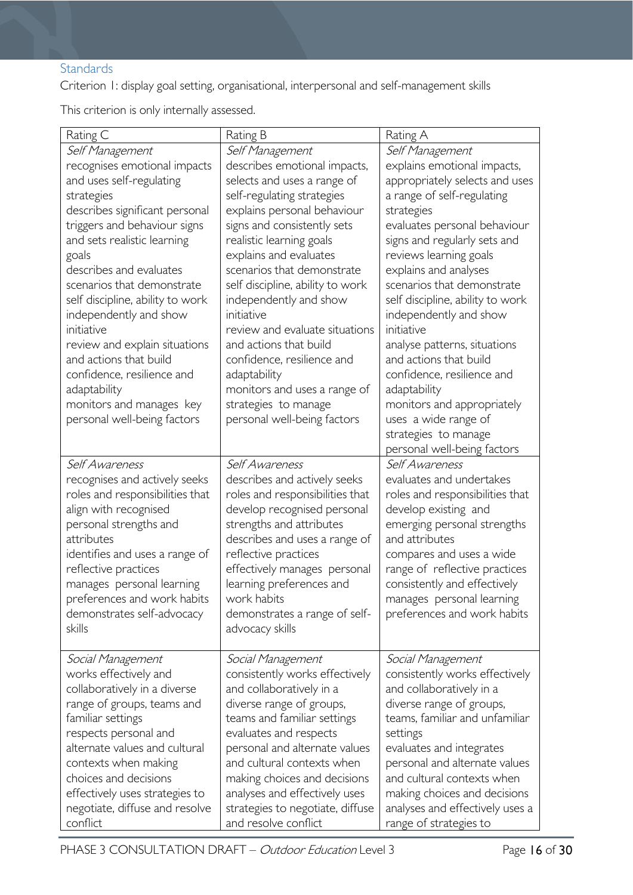# <span id="page-15-0"></span>**Standards**

Criterion 1: display goal setting, organisational, interpersonal and self-management skills

This criterion is only internally assessed.

| Rating C                         | Rating B                         | Rating A                         |
|----------------------------------|----------------------------------|----------------------------------|
| Self Management                  | Self Management                  | Self Management                  |
| recognises emotional impacts     | describes emotional impacts,     | explains emotional impacts,      |
| and uses self-regulating         | selects and uses a range of      | appropriately selects and uses   |
| strategies                       | self-regulating strategies       | a range of self-regulating       |
| describes significant personal   | explains personal behaviour      | strategies                       |
| triggers and behaviour signs     | signs and consistently sets      | evaluates personal behaviour     |
| and sets realistic learning      | realistic learning goals         | signs and regularly sets and     |
| goals                            | explains and evaluates           | reviews learning goals           |
| describes and evaluates          | scenarios that demonstrate       | explains and analyses            |
| scenarios that demonstrate       | self discipline, ability to work | scenarios that demonstrate       |
| self discipline, ability to work | independently and show           | self discipline, ability to work |
| independently and show           | initiative                       | independently and show           |
| initiative                       | review and evaluate situations   | initiative                       |
| review and explain situations    | and actions that build           | analyse patterns, situations     |
| and actions that build           | confidence, resilience and       | and actions that build           |
| confidence, resilience and       | adaptability                     | confidence, resilience and       |
| adaptability                     | monitors and uses a range of     | adaptability                     |
| monitors and manages key         | strategies to manage             | monitors and appropriately       |
| personal well-being factors      | personal well-being factors      | uses a wide range of             |
|                                  |                                  | strategies to manage             |
|                                  |                                  | personal well-being factors      |
| Self Awareness                   | Self Awareness                   | Self Awareness                   |
| recognises and actively seeks    | describes and actively seeks     | evaluates and undertakes         |
| roles and responsibilities that  | roles and responsibilities that  | roles and responsibilities that  |
| align with recognised            | develop recognised personal      | develop existing and             |
| personal strengths and           | strengths and attributes         | emerging personal strengths      |
| attributes                       | describes and uses a range of    | and attributes                   |
| identifies and uses a range of   | reflective practices             | compares and uses a wide         |
| reflective practices             | effectively manages personal     | range of reflective practices    |
| manages personal learning        | learning preferences and         | consistently and effectively     |
| preferences and work habits      | work habits                      | manages personal learning        |
| demonstrates self-advocacy       | demonstrates a range of self-    | preferences and work habits      |
| skills                           | advocacy skills                  |                                  |
|                                  |                                  |                                  |
| Social Management                | Social Management                | Social Management                |
| works effectively and            | consistently works effectively   | consistently works effectively   |
| collaboratively in a diverse     | and collaboratively in a         | and collaboratively in a         |
| range of groups, teams and       | diverse range of groups,         | diverse range of groups,         |
| familiar settings                | teams and familiar settings      | teams, familiar and unfamiliar   |
| respects personal and            | evaluates and respects           | settings                         |
| alternate values and cultural    | personal and alternate values    | evaluates and integrates         |
| contexts when making             | and cultural contexts when       | personal and alternate values    |
| choices and decisions            | making choices and decisions     | and cultural contexts when       |
| effectively uses strategies to   | analyses and effectively uses    | making choices and decisions     |
| negotiate, diffuse and resolve   | strategies to negotiate, diffuse | analyses and effectively uses a  |
| conflict                         | and resolve conflict             | range of strategies to           |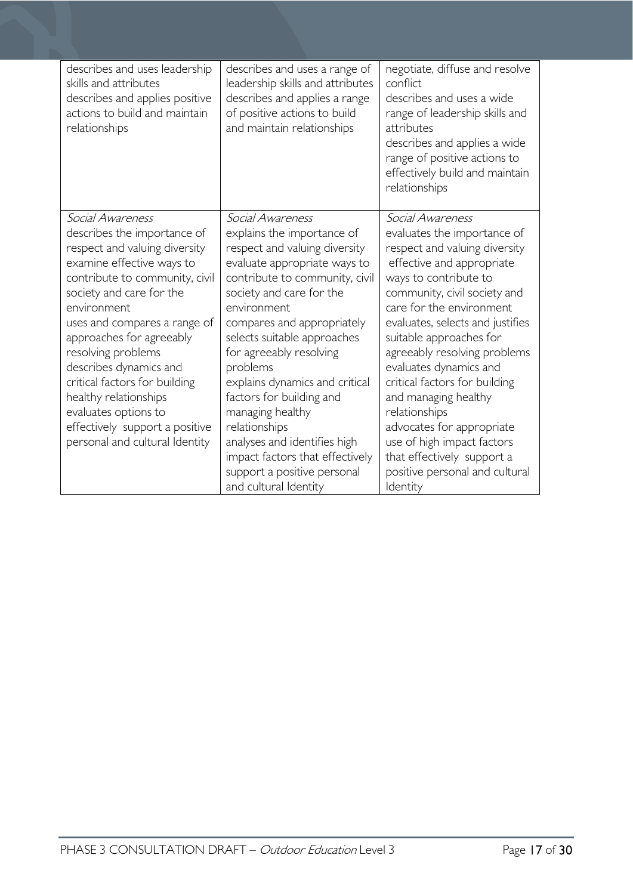| describes and uses leadership<br>skills and attributes<br>describes and applies positive<br>actions to build and maintain<br>relationships                                                                                                                                                                                                                                                                                                                   | describes and uses a range of<br>leadership skills and attributes<br>describes and applies a range<br>of positive actions to build<br>and maintain relationships                                                                                                                                                                                                                                                                                                                                                               | negotiate, diffuse and resolve<br>conflict<br>describes and uses a wide<br>range of leadership skills and<br>attributes<br>describes and applies a wide<br>range of positive actions to<br>effectively build and maintain<br>relationships                                                                                                                                                                                                                                                                                                   |
|--------------------------------------------------------------------------------------------------------------------------------------------------------------------------------------------------------------------------------------------------------------------------------------------------------------------------------------------------------------------------------------------------------------------------------------------------------------|--------------------------------------------------------------------------------------------------------------------------------------------------------------------------------------------------------------------------------------------------------------------------------------------------------------------------------------------------------------------------------------------------------------------------------------------------------------------------------------------------------------------------------|----------------------------------------------------------------------------------------------------------------------------------------------------------------------------------------------------------------------------------------------------------------------------------------------------------------------------------------------------------------------------------------------------------------------------------------------------------------------------------------------------------------------------------------------|
| Social Awareness<br>describes the importance of<br>respect and valuing diversity<br>examine effective ways to<br>contribute to community, civil<br>society and care for the<br>environment<br>uses and compares a range of<br>approaches for agreeably<br>resolving problems<br>describes dynamics and<br>critical factors for building<br>healthy relationships<br>evaluates options to<br>effectively support a positive<br>personal and cultural Identity | Social Awareness<br>explains the importance of<br>respect and valuing diversity<br>evaluate appropriate ways to<br>contribute to community, civil<br>society and care for the<br>environment<br>compares and appropriately<br>selects suitable approaches<br>for agreeably resolving<br>problems<br>explains dynamics and critical<br>factors for building and<br>managing healthy<br>relationships<br>analyses and identifies high<br>impact factors that effectively<br>support a positive personal<br>and cultural Identity | Social Awareness<br>evaluates the importance of<br>respect and valuing diversity<br>effective and appropriate<br>ways to contribute to<br>community, civil society and<br>care for the environment<br>evaluates, selects and justifies<br>suitable approaches for<br>agreeably resolving problems<br>evaluates dynamics and<br>critical factors for building<br>and managing healthy<br>relationships<br>advocates for appropriate<br>use of high impact factors<br>that effectively support a<br>positive personal and cultural<br>Identity |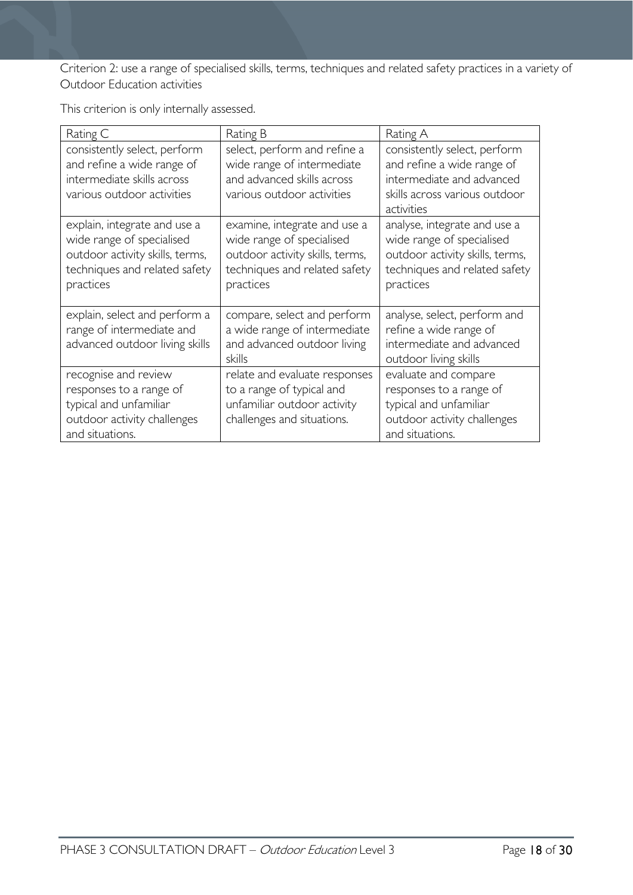Criterion 2: use a range of specialised skills, terms, techniques and related safety practices in a variety of Outdoor Education activities

This criterion is only internally assessed.

| Rating C                                                                                                                                   | Rating B                                                                                                                                   | Rating A                                                                                                                                   |
|--------------------------------------------------------------------------------------------------------------------------------------------|--------------------------------------------------------------------------------------------------------------------------------------------|--------------------------------------------------------------------------------------------------------------------------------------------|
| consistently select, perform<br>and refine a wide range of<br>intermediate skills across<br>various outdoor activities                     | select, perform and refine a<br>wide range of intermediate<br>and advanced skills across<br>various outdoor activities                     | consistently select, perform<br>and refine a wide range of<br>intermediate and advanced<br>skills across various outdoor<br>activities     |
| explain, integrate and use a<br>wide range of specialised<br>outdoor activity skills, terms,<br>techniques and related safety<br>practices | examine, integrate and use a<br>wide range of specialised<br>outdoor activity skills, terms,<br>techniques and related safety<br>practices | analyse, integrate and use a<br>wide range of specialised<br>outdoor activity skills, terms,<br>techniques and related safety<br>practices |
| explain, select and perform a<br>range of intermediate and<br>advanced outdoor living skills                                               | compare, select and perform<br>a wide range of intermediate<br>and advanced outdoor living<br>skills                                       | analyse, select, perform and<br>refine a wide range of<br>intermediate and advanced<br>outdoor living skills                               |
| recognise and review<br>responses to a range of<br>typical and unfamiliar<br>outdoor activity challenges<br>and situations.                | relate and evaluate responses<br>to a range of typical and<br>unfamiliar outdoor activity<br>challenges and situations.                    | evaluate and compare<br>responses to a range of<br>typical and unfamiliar<br>outdoor activity challenges<br>and situations.                |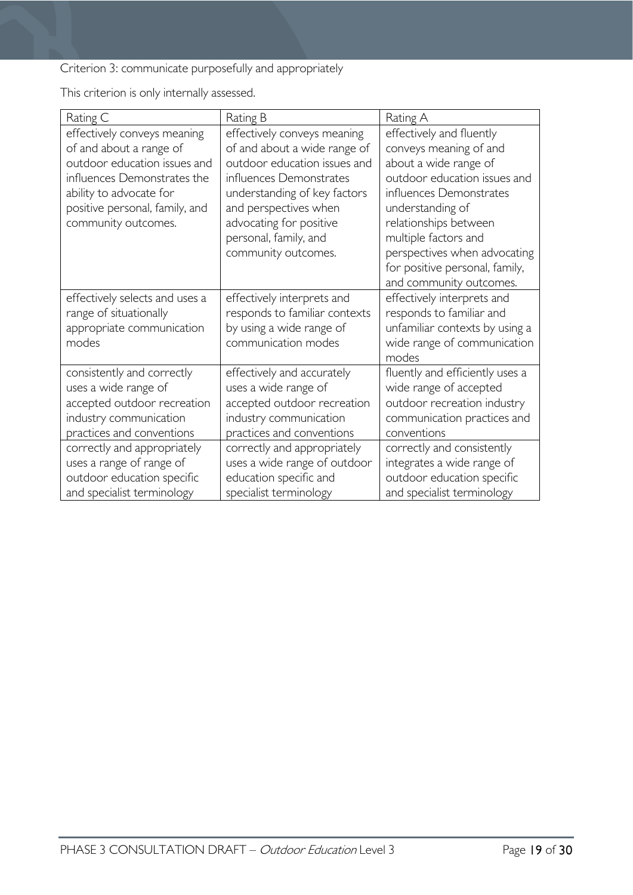Criterion 3: communicate purposefully and appropriately

This criterion is only internally assessed.

| Rating C                                                                                                                                                                                                  | Rating B                                                                                                                                                                                                                                                   | Rating A                                                                                                                                                                                                                                                                                                 |
|-----------------------------------------------------------------------------------------------------------------------------------------------------------------------------------------------------------|------------------------------------------------------------------------------------------------------------------------------------------------------------------------------------------------------------------------------------------------------------|----------------------------------------------------------------------------------------------------------------------------------------------------------------------------------------------------------------------------------------------------------------------------------------------------------|
| effectively conveys meaning<br>of and about a range of<br>outdoor education issues and<br>influences Demonstrates the<br>ability to advocate for<br>positive personal, family, and<br>community outcomes. | effectively conveys meaning<br>of and about a wide range of<br>outdoor education issues and<br>influences Demonstrates<br>understanding of key factors<br>and perspectives when<br>advocating for positive<br>personal, family, and<br>community outcomes. | effectively and fluently<br>conveys meaning of and<br>about a wide range of<br>outdoor education issues and<br>influences Demonstrates<br>understanding of<br>relationships between<br>multiple factors and<br>perspectives when advocating<br>for positive personal, family,<br>and community outcomes. |
| effectively selects and uses a<br>range of situationally<br>appropriate communication<br>modes                                                                                                            | effectively interprets and<br>responds to familiar contexts<br>by using a wide range of<br>communication modes                                                                                                                                             | effectively interprets and<br>responds to familiar and<br>unfamiliar contexts by using a<br>wide range of communication<br>modes                                                                                                                                                                         |
| consistently and correctly<br>uses a wide range of<br>accepted outdoor recreation<br>industry communication<br>practices and conventions<br>correctly and appropriately<br>uses a range of range of       | effectively and accurately<br>uses a wide range of<br>accepted outdoor recreation<br>industry communication<br>practices and conventions<br>correctly and appropriately<br>uses a wide range of outdoor                                                    | fluently and efficiently uses a<br>wide range of accepted<br>outdoor recreation industry<br>communication practices and<br>conventions<br>correctly and consistently<br>integrates a wide range of                                                                                                       |
| outdoor education specific<br>and specialist terminology                                                                                                                                                  | education specific and<br>specialist terminology                                                                                                                                                                                                           | outdoor education specific<br>and specialist terminology                                                                                                                                                                                                                                                 |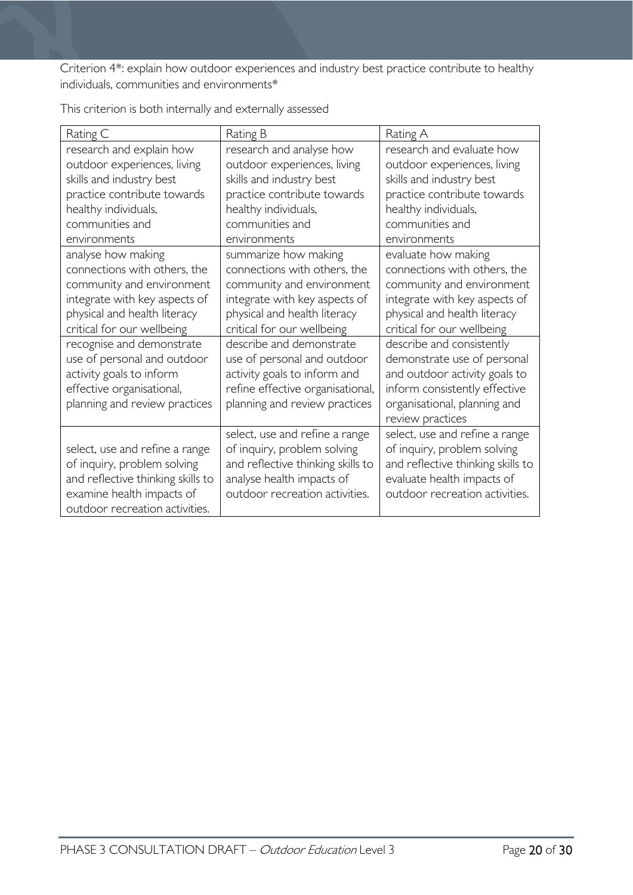Criterion 4\*: explain how outdoor experiences and industry best practice contribute to healthy individuals, communities and environments\*

| Rating C                          | Rating B                          | Rating A                          |
|-----------------------------------|-----------------------------------|-----------------------------------|
| research and explain how          | research and analyse how          | research and evaluate how         |
| outdoor experiences, living       | outdoor experiences, living       | outdoor experiences, living       |
| skills and industry best          | skills and industry best          | skills and industry best          |
| practice contribute towards       | practice contribute towards       | practice contribute towards       |
| healthy individuals,              | healthy individuals,              | healthy individuals,              |
| communities and                   | communities and                   | communities and                   |
| environments                      | environments                      | environments                      |
| analyse how making                | summarize how making              | evaluate how making               |
| connections with others, the      | connections with others, the      | connections with others, the      |
| community and environment         | community and environment         | community and environment         |
| integrate with key aspects of     | integrate with key aspects of     | integrate with key aspects of     |
| physical and health literacy      | physical and health literacy      | physical and health literacy      |
| critical for our wellbeing        | critical for our wellbeing        | critical for our wellbeing        |
| recognise and demonstrate         | describe and demonstrate          | describe and consistently         |
| use of personal and outdoor       | use of personal and outdoor       | demonstrate use of personal       |
| activity goals to inform          | activity goals to inform and      | and outdoor activity goals to     |
| effective organisational,         | refine effective organisational,  | inform consistently effective     |
| planning and review practices     | planning and review practices     | organisational, planning and      |
|                                   |                                   | review practices                  |
|                                   | select, use and refine a range    | select, use and refine a range    |
| select, use and refine a range    | of inquiry, problem solving       | of inquiry, problem solving       |
| of inquiry, problem solving       | and reflective thinking skills to | and reflective thinking skills to |
| and reflective thinking skills to | analyse health impacts of         | evaluate health impacts of        |
| examine health impacts of         | outdoor recreation activities.    | outdoor recreation activities.    |
| outdoor recreation activities.    |                                   |                                   |

This criterion is both internally and externally assessed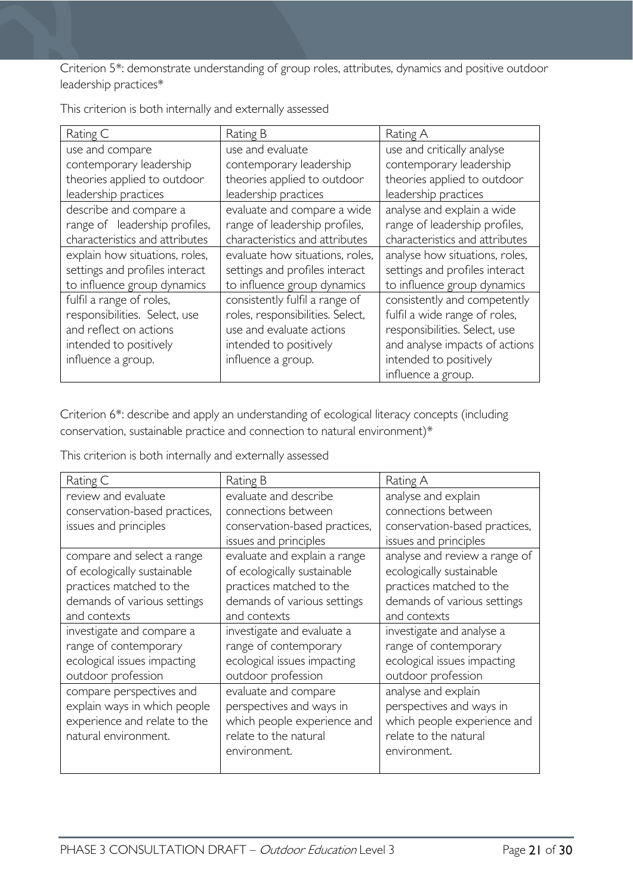Criterion 5\*: demonstrate understanding of group roles, attributes, dynamics and positive outdoor leadership practices\*

| Rating C                       | Rating B                         | Rating A                       |
|--------------------------------|----------------------------------|--------------------------------|
| use and compare                | use and evaluate                 | use and critically analyse     |
| contemporary leadership        | contemporary leadership          | contemporary leadership        |
| theories applied to outdoor    | theories applied to outdoor      | theories applied to outdoor    |
| leadership practices           | leadership practices             | leadership practices           |
| describe and compare a         | evaluate and compare a wide      | analyse and explain a wide     |
| range of leadership profiles,  | range of leadership profiles,    | range of leadership profiles,  |
| characteristics and attributes | characteristics and attributes   | characteristics and attributes |
| explain how situations, roles, | evaluate how situations, roles,  | analyse how situations, roles, |
| settings and profiles interact | settings and profiles interact   | settings and profiles interact |
| to influence group dynamics    | to influence group dynamics      | to influence group dynamics    |
| fulfil a range of roles,       | consistently fulfil a range of   | consistently and competently   |
| responsibilities. Select, use  | roles, responsibilities. Select, | fulfil a wide range of roles,  |
| and reflect on actions         | use and evaluate actions         | responsibilities. Select, use  |
| intended to positively         | intended to positively           | and analyse impacts of actions |
| influence a group.             | influence a group.               | intended to positively         |
|                                |                                  | influence a group.             |

This criterion is both internally and externally assessed

Criterion 6\*: describe and apply an understanding of ecological literacy concepts (including conservation, sustainable practice and connection to natural environment)\*

This criterion is both internally and externally assessed

| Rating C                      | Rating B                      | Rating A                      |
|-------------------------------|-------------------------------|-------------------------------|
| review and evaluate           | evaluate and describe         | analyse and explain           |
| conservation-based practices, | connections between           | connections between           |
| issues and principles         | conservation-based practices, | conservation-based practices, |
|                               | issues and principles         | issues and principles         |
| compare and select a range    | evaluate and explain a range  | analyse and review a range of |
| of ecologically sustainable   | of ecologically sustainable   | ecologically sustainable      |
| practices matched to the      | practices matched to the      | practices matched to the      |
| demands of various settings   | demands of various settings   | demands of various settings   |
| and contexts                  | and contexts                  | and contexts                  |
| investigate and compare a     | investigate and evaluate a    | investigate and analyse a     |
| range of contemporary         | range of contemporary         | range of contemporary         |
| ecological issues impacting   | ecological issues impacting   | ecological issues impacting   |
| outdoor profession            | outdoor profession            | outdoor profession            |
| compare perspectives and      | evaluate and compare          | analyse and explain           |
| explain ways in which people  | perspectives and ways in      | perspectives and ways in      |
| experience and relate to the  | which people experience and   | which people experience and   |
| natural environment.          | relate to the natural         | relate to the natural         |
|                               | environment.                  | environment.                  |
|                               |                               |                               |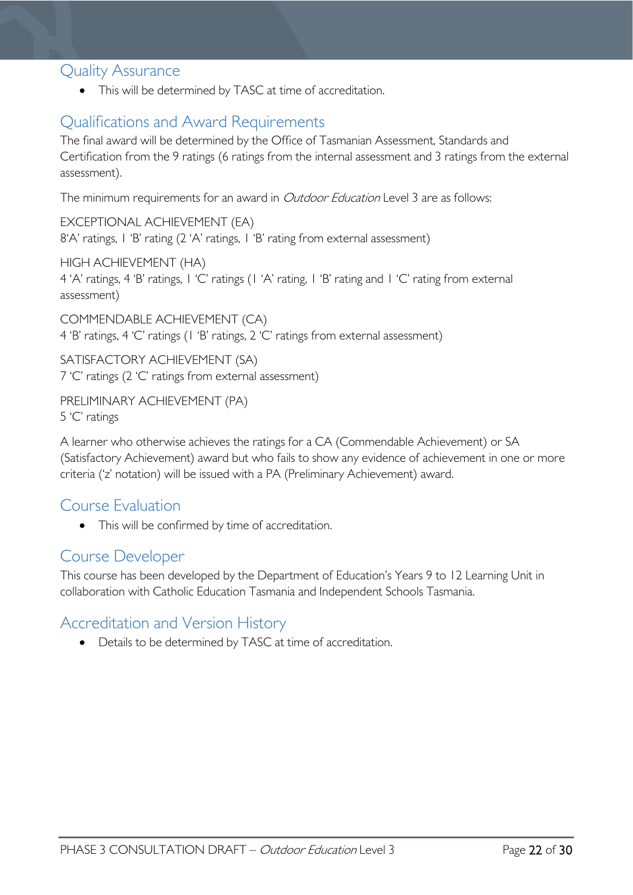# <span id="page-21-0"></span>Quality Assurance

• This will be determined by TASC at time of accreditation.

# <span id="page-21-1"></span>Qualifications and Award Requirements

The final award will be determined by the Office of Tasmanian Assessment, Standards and Certification from the 9 ratings (6 ratings from the internal assessment and 3 ratings from the external assessment).

The minimum requirements for an award in *Outdoor Education* Level 3 are as follows:

EXCEPTIONAL ACHIEVEMENT (EA) 8'A' ratings, 1 'B' rating (2 'A' ratings, 1 'B' rating from external assessment)

HIGH ACHIEVEMENT (HA) 4 'A' ratings, 4 'B' ratings, 1 'C' ratings (1 'A' rating, 1 'B' rating and 1 'C' rating from external assessment)

COMMENDABLE ACHIEVEMENT (CA) 4 'B' ratings, 4 'C' ratings (1 'B' ratings, 2 'C' ratings from external assessment)

SATISFACTORY ACHIEVEMENT (SA) 7 'C' ratings (2 'C' ratings from external assessment)

PRELIMINARY ACHIEVEMENT (PA)

5 'C' ratings

A learner who otherwise achieves the ratings for a CA (Commendable Achievement) or SA (Satisfactory Achievement) award but who fails to show any evidence of achievement in one or more criteria ('z' notation) will be issued with a PA (Preliminary Achievement) award.

# <span id="page-21-2"></span>Course Evaluation

• This will be confirmed by time of accreditation.

# <span id="page-21-3"></span>Course Developer

This course has been developed by the Department of Education's Years 9 to 12 Learning Unit in collaboration with Catholic Education Tasmania and Independent Schools Tasmania.

# <span id="page-21-4"></span>Accreditation and Version History

• Details to be determined by TASC at time of accreditation.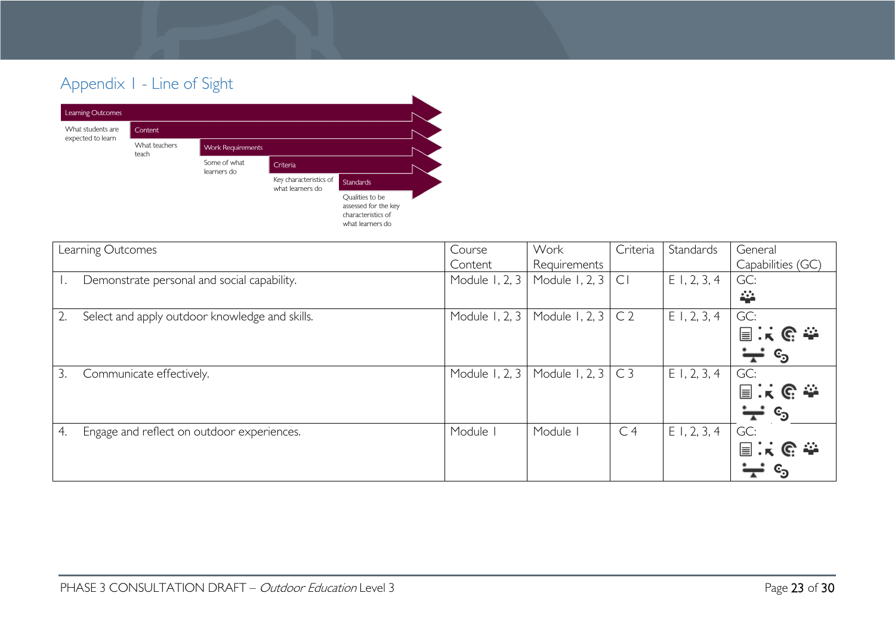# Appendix 1 - Line of Sight



<span id="page-22-0"></span>

| Learning Outcomes                                | Course         | Work                            | Criteria       | Standards      | General                      |
|--------------------------------------------------|----------------|---------------------------------|----------------|----------------|------------------------------|
|                                                  | Content        | Requirements                    |                |                | Capabilities (GC)            |
| Demonstrate personal and social capability.      |                | Module 1, 2, 3   Module 1, 2, 3 | C <sub>1</sub> | $E$ 1, 2, 3, 4 | GC:                          |
|                                                  |                |                                 |                |                | 挙                            |
| Select and apply outdoor knowledge and skills.   | Module 1, 2, 3 | Module 1, 2, 3                  | C <sub>2</sub> | $E$ 1, 2, 3, 4 | GC:                          |
|                                                  |                |                                 |                |                | 国家哈辛                         |
|                                                  |                |                                 |                |                | ₩<br>$\mathbf{c}_\mathbf{D}$ |
| 3.<br>Communicate effectively.                   | Module 1, 2, 3 | Module 1, 2, 3                  | C <sub>3</sub> | $E$ 1, 2, 3, 4 | GC:                          |
|                                                  |                |                                 |                |                | 国家的参                         |
|                                                  |                |                                 |                |                | ∵<br>$\mathbf{c}_\mathbf{0}$ |
| Engage and reflect on outdoor experiences.<br>4. | Module         | Module                          | C <sub>4</sub> | $E$ 1, 2, 3, 4 | GC:                          |
|                                                  |                |                                 |                |                | 国民民参                         |
|                                                  |                |                                 |                |                |                              |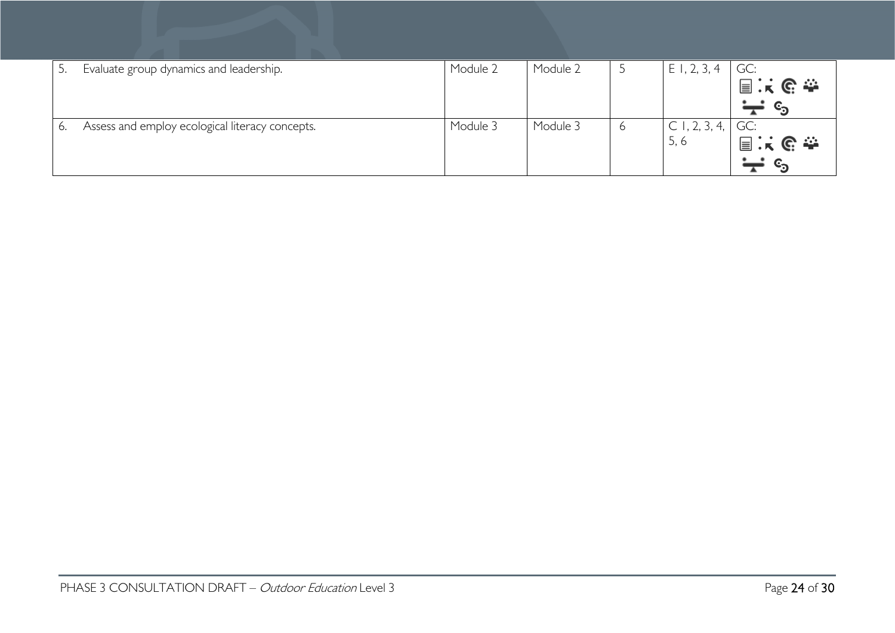|    | Evaluate group dynamics and leadership.         | Module 2 | Module 2 | $\overline{\phantom{0}}$ | $E$ 1, 2, 3, 4 | GC:            |
|----|-------------------------------------------------|----------|----------|--------------------------|----------------|----------------|
|    |                                                 |          |          |                          |                | 国兴区泰           |
|    |                                                 |          |          |                          |                | $\mathbb{c}_2$ |
| 6. | Assess and employ ecological literacy concepts. | Module 3 | Module 3 | 6                        | C1, 2, 3, 4,   | GC:            |
|    |                                                 |          |          |                          | 5, 6           | 国民民泰           |
|    |                                                 |          |          |                          |                |                |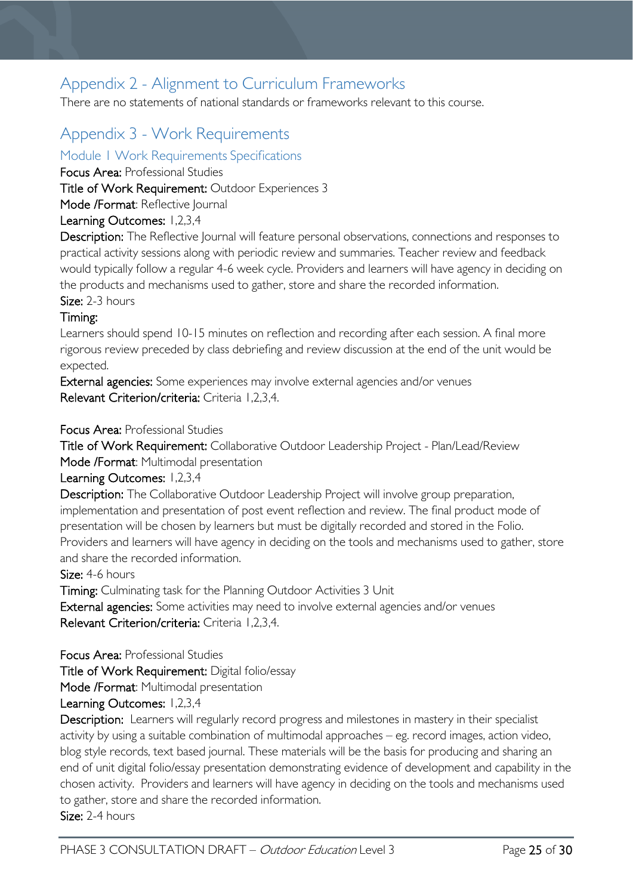# <span id="page-24-0"></span>Appendix 2 - Alignment to Curriculum Frameworks

There are no statements of national standards or frameworks relevant to this course.

# <span id="page-24-1"></span>Appendix 3 - Work Requirements

# <span id="page-24-2"></span>Module 1 Work Requirements Specifications

Focus Area: Professional Studies

Title of Work Requirement: Outdoor Experiences 3

Mode /Format: Reflective Journal

## Learning Outcomes: 1,2,3,4

Description: The Reflective Journal will feature personal observations, connections and responses to practical activity sessions along with periodic review and summaries. Teacher review and feedback would typically follow a regular 4-6 week cycle. Providers and learners will have agency in deciding on the products and mechanisms used to gather, store and share the recorded information. Size: 2-3 hours

## Timing:

Learners should spend 10-15 minutes on reflection and recording after each session. A final more rigorous review preceded by class debriefing and review discussion at the end of the unit would be expected.

External agencies: Some experiences may involve external agencies and/or venues Relevant Criterion/criteria: Criteria 1,2,3,4.

### Focus Area: Professional Studies

Title of Work Requirement: Collaborative Outdoor Leadership Project - Plan/Lead/Review Mode /Format: Multimodal presentation

Learning Outcomes: 1,2,3,4

Description: The Collaborative Outdoor Leadership Project will involve group preparation, implementation and presentation of post event reflection and review. The final product mode of presentation will be chosen by learners but must be digitally recorded and stored in the Folio. Providers and learners will have agency in deciding on the tools and mechanisms used to gather, store and share the recorded information.

## Size: 4-6 hours

Timing: Culminating task for the Planning Outdoor Activities 3 Unit

External agencies: Some activities may need to involve external agencies and/or venues Relevant Criterion/criteria: Criteria 1,2,3,4.

Focus Area: Professional Studies

Title of Work Requirement: Digital folio/essay

Mode /Format: Multimodal presentation

Learning Outcomes: 1,2,3,4

Description: Learners will regularly record progress and milestones in mastery in their specialist activity by using a suitable combination of multimodal approaches – eg. record images, action video, blog style records, text based journal. These materials will be the basis for producing and sharing an end of unit digital folio/essay presentation demonstrating evidence of development and capability in the chosen activity. Providers and learners will have agency in deciding on the tools and mechanisms used to gather, store and share the recorded information.

Size: 2-4 hours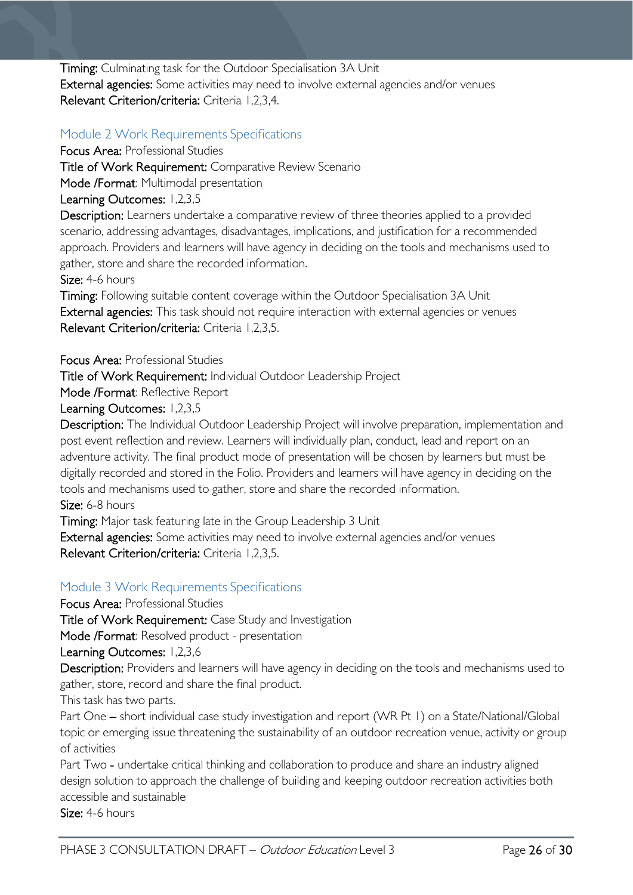Timing: Culminating task for the Outdoor Specialisation 3A Unit External agencies: Some activities may need to involve external agencies and/or venues Relevant Criterion/criteria: Criteria 1,2,3,4.

# <span id="page-25-0"></span>Module 2 Work Requirements Specifications

Focus Area: Professional Studies Title of Work Requirement: Comparative Review Scenario Mode /Format: Multimodal presentation Learning Outcomes: 1,2,3,5 Description: Learners undertake a comparative review of three theories applied to a provided

scenario, addressing advantages, disadvantages, implications, and justification for a recommended approach. Providers and learners will have agency in deciding on the tools and mechanisms used to gather, store and share the recorded information.

Size: 4-6 hours

Timing: Following suitable content coverage within the Outdoor Specialisation 3A Unit External agencies: This task should not require interaction with external agencies or venues Relevant Criterion/criteria: Criteria 1,2,3,5.

Focus Area: Professional Studies

Title of Work Requirement: Individual Outdoor Leadership Project

Mode /Format: Reflective Report

Learning Outcomes: 1,2,3,5

Description: The Individual Outdoor Leadership Project will involve preparation, implementation and post event reflection and review. Learners will individually plan, conduct, lead and report on an adventure activity. The final product mode of presentation will be chosen by learners but must be digitally recorded and stored in the Folio. Providers and learners will have agency in deciding on the tools and mechanisms used to gather, store and share the recorded information.

Size: 6-8 hours

Timing: Major task featuring late in the Group Leadership 3 Unit

External agencies: Some activities may need to involve external agencies and/or venues Relevant Criterion/criteria: Criteria 1,2,3,5.

# <span id="page-25-1"></span>Module 3 Work Requirements Specifications

Focus Area: Professional Studies

Title of Work Requirement: Case Study and Investigation

Mode /Format: Resolved product - presentation

Learning Outcomes: 1,2,3,6

Description: Providers and learners will have agency in deciding on the tools and mechanisms used to gather, store, record and share the final product.

This task has two parts.

Part One – short individual case study investigation and report (WR Pt 1) on a State/National/Global topic or emerging issue threatening the sustainability of an outdoor recreation venue, activity or group of activities

Part Two - undertake critical thinking and collaboration to produce and share an industry aligned design solution to approach the challenge of building and keeping outdoor recreation activities both accessible and sustainable

Size: 4-6 hours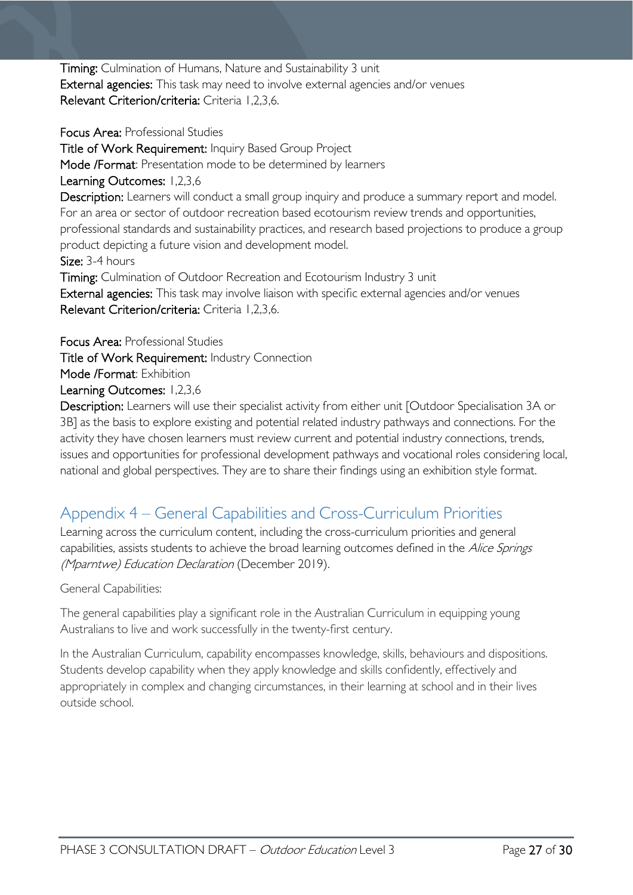Timing: Culmination of Humans, Nature and Sustainability 3 unit External agencies: This task may need to involve external agencies and/or venues Relevant Criterion/criteria: Criteria 1,2,3,6.

Focus Area: Professional Studies Title of Work Requirement: Inquiry Based Group Project Mode /Format: Presentation mode to be determined by learners Learning Outcomes: 1,2,3,6 Description: Learners will conduct a small group inquiry and produce a summary report and model. For an area or sector of outdoor recreation based ecotourism review trends and opportunities, professional standards and sustainability practices, and research based projections to produce a group product depicting a future vision and development model. Size: 3-4 hours Timing: Culmination of Outdoor Recreation and Ecotourism Industry 3 unit External agencies: This task may involve liaison with specific external agencies and/or venues Relevant Criterion/criteria: Criteria 1,2,3,6.

Focus Area: Professional Studies

Title of Work Requirement: Industry Connection

Mode /Format: Exhibition

Learning Outcomes: 1,2,3,6

Description: Learners will use their specialist activity from either unit [Outdoor Specialisation 3A or 3B] as the basis to explore existing and potential related industry pathways and connections. For the activity they have chosen learners must review current and potential industry connections, trends, issues and opportunities for professional development pathways and vocational roles considering local, national and global perspectives. They are to share their findings using an exhibition style format.

# <span id="page-26-0"></span>Appendix 4 – General Capabilities and Cross-Curriculum Priorities

Learning across the curriculum content, including the cross-curriculum priorities and general capabilities, assists students to achieve the broad learning outcomes defined in the Alice Springs (Mparntwe) Education Declaration (December 2019).

General Capabilities:

The general capabilities play a significant role in the Australian Curriculum in equipping young Australians to live and work successfully in the twenty-first century.

In the Australian Curriculum, capability encompasses knowledge, skills, behaviours and dispositions. Students develop capability when they apply knowledge and skills confidently, effectively and appropriately in complex and changing circumstances, in their learning at school and in their lives outside school.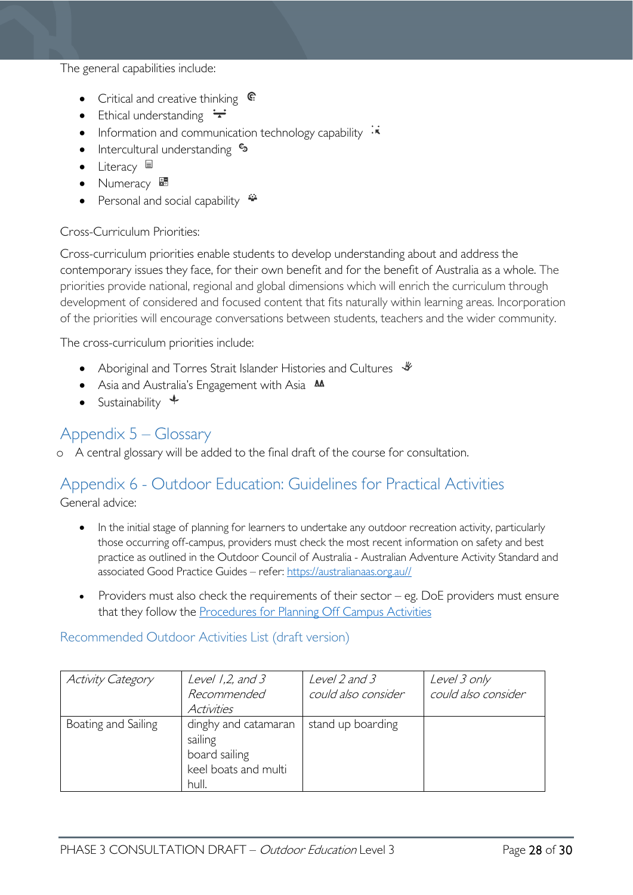The general capabilities include:

- Critical and creative thinking  $\mathbb{C}$
- Ethical understanding  $\div$
- Information and communication technology capability  $\cdot \star$
- Intercultural understanding  $\epsilon_3$
- Literacy  $\blacksquare$
- Numeracy
- Personal and social capability  $\ddot{\ddot{\bullet}}$

### Cross-Curriculum Priorities:

Cross-curriculum priorities enable students to develop understanding about and address the contemporary issues they face, for their own benefit and for the benefit of Australia as a whole. The priorities provide national, regional and global dimensions which will enrich the curriculum through development of considered and focused content that fits naturally within learning areas. Incorporation of the priorities will encourage conversations between students, teachers and the wider community.

The cross-curriculum priorities include:

- Aboriginal and Torres Strait Islander Histories and Cultures  $\mathcal$
- Asia and Australia's Engagement with Asia **AA**
- Sustainability  $\triangleleft$

# <span id="page-27-0"></span>Appendix 5 – Glossary

o A central glossary will be added to the final draft of the course for consultation.

# <span id="page-27-1"></span>Appendix 6 - Outdoor Education: Guidelines for Practical Activities

General advice:

- In the initial stage of planning for learners to undertake any outdoor recreation activity, particularly those occurring off-campus, providers must check the most recent information on safety and best practice as outlined in the Outdoor Council of Australia - Australian Adventure Activity Standard and associated Good Practice Guides – refer: [https://australianaas.org.au//](https://australianaas.org.au/)
- Providers must also check the requirements of their sector  $-$  eg. DoE providers must ensure that they follow the [Procedures for Planning Off Campus Activities](https://tasedu.sharepoint.com/sites/intranet/Document%20Centre/Procedures-for-Planning-Off-Campus-Activities.PDF)

## <span id="page-27-2"></span>Recommended Outdoor Activities List (draft version)

| <b>Activity Category</b> | Level $1,2$ , and $3$<br>Recommended<br>Activities                                | Level 2 and 3<br>could also consider | Level 3 only<br>could also consider |
|--------------------------|-----------------------------------------------------------------------------------|--------------------------------------|-------------------------------------|
| Boating and Sailing      | dinghy and catamaran<br>sailing<br>board sailing<br>keel boats and multi<br>hull. | stand up boarding                    |                                     |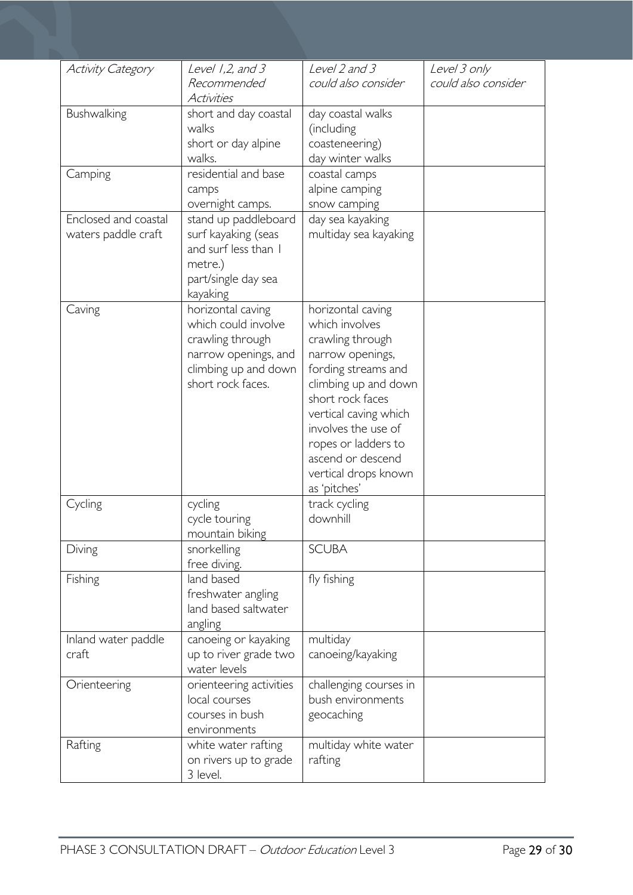| <b>Activity Category</b> | Level 1,2, and 3        | Level 2 and 3          | Level 3 only        |
|--------------------------|-------------------------|------------------------|---------------------|
|                          | Recommended             | could also consider    | could also consider |
|                          | Activities              |                        |                     |
| Bushwalking              | short and day coastal   | day coastal walks      |                     |
|                          | walks                   | (including             |                     |
|                          | short or day alpine     | coasteneering)         |                     |
|                          | walks.                  | day winter walks       |                     |
| Camping                  | residential and base    | coastal camps          |                     |
|                          | camps                   | alpine camping         |                     |
|                          | overnight camps.        | snow camping           |                     |
| Enclosed and coastal     | stand up paddleboard    | day sea kayaking       |                     |
| waters paddle craft      | surf kayaking (seas     | multiday sea kayaking  |                     |
|                          | and surf less than I    |                        |                     |
|                          | metre.)                 |                        |                     |
|                          | part/single day sea     |                        |                     |
|                          | kayaking                |                        |                     |
| Caving                   | horizontal caving       | horizontal caving      |                     |
|                          | which could involve     | which involves         |                     |
|                          | crawling through        | crawling through       |                     |
|                          | narrow openings, and    | narrow openings,       |                     |
|                          | climbing up and down    | fording streams and    |                     |
|                          | short rock faces.       | climbing up and down   |                     |
|                          |                         | short rock faces       |                     |
|                          |                         | vertical caving which  |                     |
|                          |                         | involves the use of    |                     |
|                          |                         | ropes or ladders to    |                     |
|                          |                         | ascend or descend      |                     |
|                          |                         | vertical drops known   |                     |
|                          |                         | as 'pitches'           |                     |
| Cycling                  | cycling                 | track cycling          |                     |
|                          | cycle touring           | downhill               |                     |
|                          | mountain biking         |                        |                     |
| Diving                   | snorkelling             | <b>SCUBA</b>           |                     |
|                          | free diving.            |                        |                     |
| Fishing                  | land based              | fly fishing            |                     |
|                          | freshwater angling      |                        |                     |
|                          | land based saltwater    |                        |                     |
|                          | angling                 |                        |                     |
| Inland water paddle      | canoeing or kayaking    | multiday               |                     |
| craft                    | up to river grade two   | canoeing/kayaking      |                     |
|                          | water levels            |                        |                     |
| Orienteering             | orienteering activities | challenging courses in |                     |
|                          | local courses           | bush environments      |                     |
|                          | courses in bush         | geocaching             |                     |
|                          | environments            |                        |                     |
| Rafting                  | white water rafting     | multiday white water   |                     |
|                          | on rivers up to grade   | rafting                |                     |
|                          | 3 level.                |                        |                     |